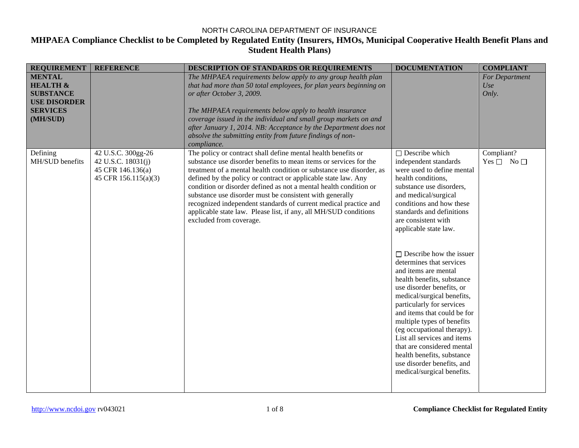| <b>REQUIREMENT</b>                                                                                             | <b>REFERENCE</b>                                                                      | DESCRIPTION OF STANDARDS OR REQUIREMENTS                                                                                                                                                                                                                                                                                                                                                                                                                                                                                                                                         | <b>DOCUMENTATION</b>                                                                                                                                                                                                                                                                                                                                                                                                                                                                                                                                                                                                                                                                                                          | <b>COMPLIANT</b>                   |
|----------------------------------------------------------------------------------------------------------------|---------------------------------------------------------------------------------------|----------------------------------------------------------------------------------------------------------------------------------------------------------------------------------------------------------------------------------------------------------------------------------------------------------------------------------------------------------------------------------------------------------------------------------------------------------------------------------------------------------------------------------------------------------------------------------|-------------------------------------------------------------------------------------------------------------------------------------------------------------------------------------------------------------------------------------------------------------------------------------------------------------------------------------------------------------------------------------------------------------------------------------------------------------------------------------------------------------------------------------------------------------------------------------------------------------------------------------------------------------------------------------------------------------------------------|------------------------------------|
| <b>MENTAL</b><br><b>HEALTH &amp;</b><br><b>SUBSTANCE</b><br><b>USE DISORDER</b><br><b>SERVICES</b><br>(MH/SUD) |                                                                                       | The MHPAEA requirements below apply to any group health plan<br>that had more than 50 total employees, for plan years beginning on<br>or after October 3, 2009.<br>The MHPAEA requirements below apply to health insurance<br>coverage issued in the individual and small group markets on and<br>after January 1, 2014. NB: Acceptance by the Department does not<br>absolve the submitting entity from future findings of non-<br>compliance.                                                                                                                                  |                                                                                                                                                                                                                                                                                                                                                                                                                                                                                                                                                                                                                                                                                                                               | For Department<br>Use<br>Only.     |
| Defining<br>MH/SUD benefits                                                                                    | 42 U.S.C. 300gg-26<br>42 U.S.C. 18031(j)<br>45 CFR 146.136(a)<br>45 CFR 156.115(a)(3) | The policy or contract shall define mental health benefits or<br>substance use disorder benefits to mean items or services for the<br>treatment of a mental health condition or substance use disorder, as<br>defined by the policy or contract or applicable state law. Any<br>condition or disorder defined as not a mental health condition or<br>substance use disorder must be consistent with generally<br>recognized independent standards of current medical practice and<br>applicable state law. Please list, if any, all MH/SUD conditions<br>excluded from coverage. | $\Box$ Describe which<br>independent standards<br>were used to define mental<br>health conditions,<br>substance use disorders,<br>and medical/surgical<br>conditions and how these<br>standards and definitions<br>are consistent with<br>applicable state law.<br>$\Box$ Describe how the issuer<br>determines that services<br>and items are mental<br>health benefits, substance<br>use disorder benefits, or<br>medical/surgical benefits,<br>particularly for services<br>and items that could be for<br>multiple types of benefits<br>(eg occupational therapy).<br>List all services and items<br>that are considered mental<br>health benefits, substance<br>use disorder benefits, and<br>medical/surgical benefits. | Compliant?<br>Yes $\Box$ No $\Box$ |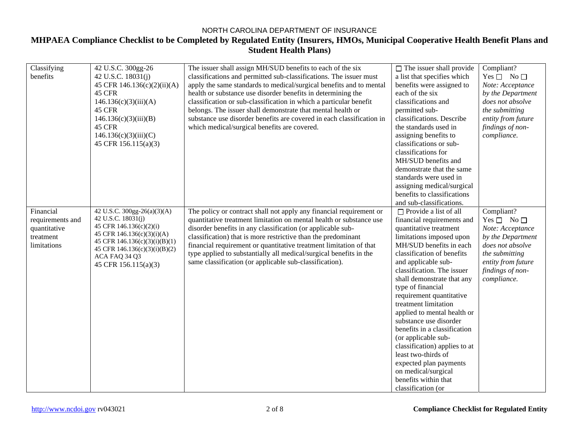### NORTH CAROLINA DEPARTMENT OF INSURANCE **MHPAEA Compliance Checklist to be Completed by Regulated Entity (Insurers, HMOs, Municipal Cooperative Health Benefit Plans and Student Health Plans)**

| Classifying      | 42 U.S.C. 300gg-26                             | The issuer shall assign MH/SUD benefits to each of the six            | $\Box$ The issuer shall provide | Compliant?           |
|------------------|------------------------------------------------|-----------------------------------------------------------------------|---------------------------------|----------------------|
| benefits         | 42 U.S.C. 18031(j)                             | classifications and permitted sub-classifications. The issuer must    | a list that specifies which     | Yes $\Box$ No $\Box$ |
|                  | 45 CFR 146.136(c)(2)(ii)(A)                    | apply the same standards to medical/surgical benefits and to mental   | benefits were assigned to       | Note: Acceptance     |
|                  | 45 CFR                                         |                                                                       | each of the six                 |                      |
|                  |                                                | health or substance use disorder benefits in determining the          |                                 | by the Department    |
|                  | 146.136(c)(3)(iii)(A)                          | classification or sub-classification in which a particular benefit    | classifications and             | does not absolve     |
|                  | 45 CFR                                         | belongs. The issuer shall demonstrate that mental health or           | permitted sub-                  | the submitting       |
|                  | 146.136(c)(3)(iii)(B)                          | substance use disorder benefits are covered in each classification in | classifications. Describe       | entity from future   |
|                  | 45 CFR                                         | which medical/surgical benefits are covered.                          | the standards used in           | findings of non-     |
|                  | 146.136(c)(3)(iii)(C)                          |                                                                       | assigning benefits to           | compliance.          |
|                  | 45 CFR 156.115(a)(3)                           |                                                                       | classifications or sub-         |                      |
|                  |                                                |                                                                       | classifications for             |                      |
|                  |                                                |                                                                       | MH/SUD benefits and             |                      |
|                  |                                                |                                                                       | demonstrate that the same       |                      |
|                  |                                                |                                                                       | standards were used in          |                      |
|                  |                                                |                                                                       | assigning medical/surgical      |                      |
|                  |                                                |                                                                       | benefits to classifications     |                      |
|                  |                                                |                                                                       | and sub-classifications.        |                      |
| Financial        | 42 U.S.C. 300gg-26(a)(3)(A)                    | The policy or contract shall not apply any financial requirement or   | $\Box$ Provide a list of all    | Compliant?           |
| requirements and | 42 U.S.C. 18031(j)                             | quantitative treatment limitation on mental health or substance use   | financial requirements and      | Yes $\Box$ No $\Box$ |
| quantitative     | 45 CFR 146.136(c)(2)(i)                        | disorder benefits in any classification (or applicable sub-           | quantitative treatment          | Note: Acceptance     |
| treatment        | 45 CFR 146.136(c)(3)(i)(A)                     | classification) that is more restrictive than the predominant         | limitations imposed upon        | by the Department    |
| limitations      | 45 CFR 146.136(c)(3)(i)(B)(1)                  | financial requirement or quantitative treatment limitation of that    | MH/SUD benefits in each         | does not absolve     |
|                  | 45 CFR 146.136(c)(3)(i)(B)(2)<br>ACA FAQ 34 Q3 | type applied to substantially all medical/surgical benefits in the    | classification of benefits      | the submitting       |
|                  | 45 CFR 156.115(a)(3)                           | same classification (or applicable sub-classification).               | and applicable sub-             | entity from future   |
|                  |                                                |                                                                       | classification. The issuer      | findings of non-     |
|                  |                                                |                                                                       | shall demonstrate that any      | compliance.          |
|                  |                                                |                                                                       | type of financial               |                      |
|                  |                                                |                                                                       | requirement quantitative        |                      |
|                  |                                                |                                                                       | treatment limitation            |                      |
|                  |                                                |                                                                       | applied to mental health or     |                      |
|                  |                                                |                                                                       | substance use disorder          |                      |
|                  |                                                |                                                                       | benefits in a classification    |                      |
|                  |                                                |                                                                       | (or applicable sub-             |                      |
|                  |                                                |                                                                       | classification) applies to at   |                      |
|                  |                                                |                                                                       | least two-thirds of             |                      |
|                  |                                                |                                                                       | expected plan payments          |                      |
|                  |                                                |                                                                       | on medical/surgical             |                      |
|                  |                                                |                                                                       | benefits within that            |                      |
|                  |                                                |                                                                       | classification (or              |                      |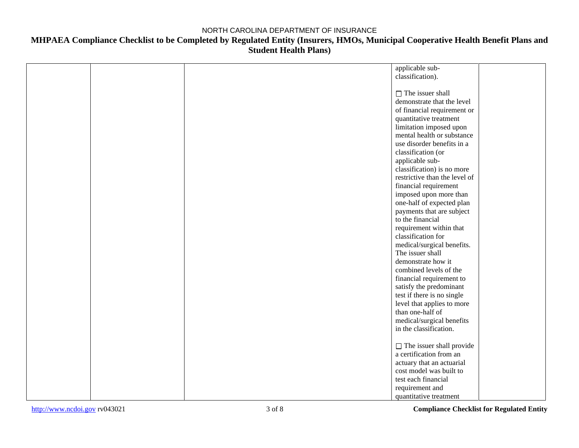|  | applicable sub-                 |
|--|---------------------------------|
|  | classification).                |
|  |                                 |
|  |                                 |
|  | $\Box$ The issuer shall         |
|  | demonstrate that the level      |
|  | of financial requirement or     |
|  | quantitative treatment          |
|  | limitation imposed upon         |
|  | mental health or substance      |
|  | use disorder benefits in a      |
|  | classification (or              |
|  | applicable sub-                 |
|  | classification) is no more      |
|  | restrictive than the level of   |
|  | financial requirement           |
|  | imposed upon more than          |
|  |                                 |
|  | one-half of expected plan       |
|  | payments that are subject       |
|  | to the financial                |
|  | requirement within that         |
|  | classification for              |
|  | medical/surgical benefits.      |
|  | The issuer shall                |
|  | demonstrate how it              |
|  | combined levels of the          |
|  | financial requirement to        |
|  | satisfy the predominant         |
|  | test if there is no single      |
|  | level that applies to more      |
|  | than one-half of                |
|  | medical/surgical benefits       |
|  | in the classification.          |
|  |                                 |
|  | $\Box$ The issuer shall provide |
|  | a certification from an         |
|  | actuary that an actuarial       |
|  | cost model was built to         |
|  | test each financial             |
|  |                                 |
|  | requirement and                 |
|  | quantitative treatment          |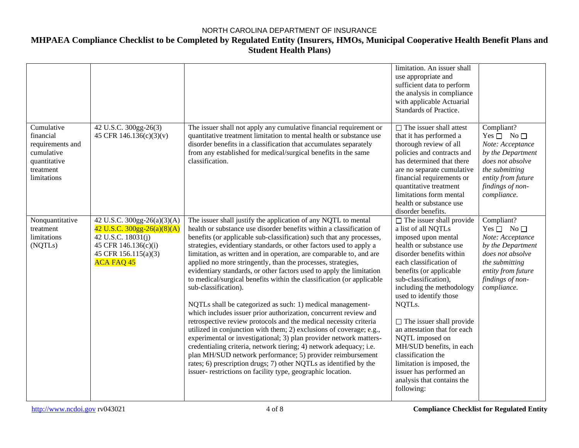|                                                                                                       |                                                                                                                                                         |                                                                                                                                                                                                                                                                                                                                                                                                                                                                                                                                                                                                                                                                                                                                                                                                                                                                                                                                                                                                                                                                                                                                                                                                                                   | limitation. An issuer shall<br>use appropriate and<br>sufficient data to perform<br>the analysis in compliance<br>with applicable Actuarial<br>Standards of Practice.                                                                                                                                                                                                                                                                                                                                                           |                                                                                                                                                                            |
|-------------------------------------------------------------------------------------------------------|---------------------------------------------------------------------------------------------------------------------------------------------------------|-----------------------------------------------------------------------------------------------------------------------------------------------------------------------------------------------------------------------------------------------------------------------------------------------------------------------------------------------------------------------------------------------------------------------------------------------------------------------------------------------------------------------------------------------------------------------------------------------------------------------------------------------------------------------------------------------------------------------------------------------------------------------------------------------------------------------------------------------------------------------------------------------------------------------------------------------------------------------------------------------------------------------------------------------------------------------------------------------------------------------------------------------------------------------------------------------------------------------------------|---------------------------------------------------------------------------------------------------------------------------------------------------------------------------------------------------------------------------------------------------------------------------------------------------------------------------------------------------------------------------------------------------------------------------------------------------------------------------------------------------------------------------------|----------------------------------------------------------------------------------------------------------------------------------------------------------------------------|
| Cumulative<br>financial<br>requirements and<br>cumulative<br>quantitative<br>treatment<br>limitations | 42 U.S.C. 300gg-26(3)<br>45 CFR 146.136(c)(3)(v)                                                                                                        | The issuer shall not apply any cumulative financial requirement or<br>quantitative treatment limitation to mental health or substance use<br>disorder benefits in a classification that accumulates separately<br>from any established for medical/surgical benefits in the same<br>classification.                                                                                                                                                                                                                                                                                                                                                                                                                                                                                                                                                                                                                                                                                                                                                                                                                                                                                                                               | $\Box$ The issuer shall attest<br>that it has performed a<br>thorough review of all<br>policies and contracts and<br>has determined that there<br>are no separate cumulative<br>financial requirements or<br>quantitative treatment<br>limitations form mental<br>health or substance use<br>disorder benefits.                                                                                                                                                                                                                 | Compliant?<br>Yes $\Box$ No $\Box$<br>Note: Acceptance<br>by the Department<br>does not absolve<br>the submitting<br>entity from future<br>findings of non-<br>compliance. |
| Nonquantitative<br>treatment<br>limitations<br>(NQTLs)                                                | 42 U.S.C. 300gg-26(a)(3)(A)<br>42 U.S.C. $300gg-26(a)(8)(A)$<br>42 U.S.C. 18031(j)<br>45 CFR 146.136(c)(i)<br>45 CFR 156.115(a)(3)<br><b>ACA FAQ 45</b> | The issuer shall justify the application of any NQTL to mental<br>health or substance use disorder benefits within a classification of<br>benefits (or applicable sub-classification) such that any processes,<br>strategies, evidentiary standards, or other factors used to apply a<br>limitation, as written and in operation, are comparable to, and are<br>applied no more stringently, than the processes, strategies,<br>evidentiary standards, or other factors used to apply the limitation<br>to medical/surgical benefits within the classification (or applicable<br>sub-classification).<br>NQTLs shall be categorized as such: 1) medical management-<br>which includes issuer prior authorization, concurrent review and<br>retrospective review protocols and the medical necessity criteria<br>utilized in conjunction with them; 2) exclusions of coverage; e.g.,<br>experimental or investigational; 3) plan provider network matters-<br>credentialing criteria, network tiering; 4) network adequacy; i.e.<br>plan MH/SUD network performance; 5) provider reimbursement<br>rates; 6) prescription drugs; 7) other NQTLs as identified by the<br>issuer- restrictions on facility type, geographic location. | $\Box$ The issuer shall provide<br>a list of all NQTLs<br>imposed upon mental<br>health or substance use<br>disorder benefits within<br>each classification of<br>benefits (or applicable<br>sub-classification),<br>including the methodology<br>used to identify those<br>NQTLs.<br>$\Box$ The issuer shall provide<br>an attestation that for each<br>NQTL imposed on<br>MH/SUD benefits, in each<br>classification the<br>limitation is imposed, the<br>issuer has performed an<br>analysis that contains the<br>following: | Compliant?<br>Yes $\Box$ No $\Box$<br>Note: Acceptance<br>by the Department<br>does not absolve<br>the submitting<br>entity from future<br>findings of non-<br>compliance. |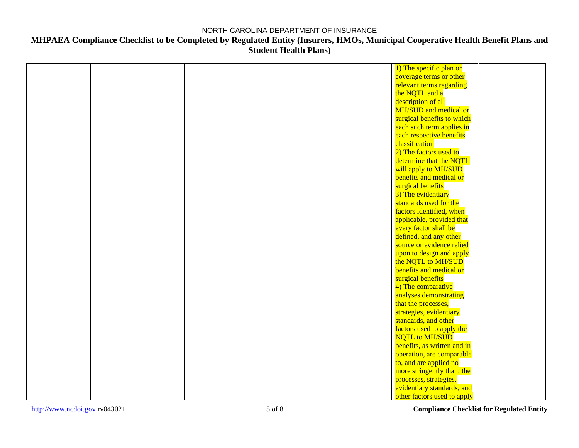## **MHPAEA Compliance Checklist to be Completed by Regulated Entity (Insurers, HMOs, Municipal Cooperative Health Benefit Plans and Student Health Plans)**

|  | 1) The specific plan or     |
|--|-----------------------------|
|  | coverage terms or other     |
|  | relevant terms regarding    |
|  | the NQTL and a              |
|  | description of all          |
|  | MH/SUD and medical or       |
|  | surgical benefits to which  |
|  | each such term applies in   |
|  | each respective benefits    |
|  | classification              |
|  | 2) The factors used to      |
|  | determine that the NQTL     |
|  | will apply to MH/SUD        |
|  | benefits and medical or     |
|  | surgical benefits           |
|  | 3) The evidentiary          |
|  | standards used for the      |
|  | factors identified, when    |
|  | applicable, provided that   |
|  | every factor shall be       |
|  | defined, and any other      |
|  | source or evidence relied   |
|  | upon to design and apply    |
|  | the NQTL to MH/SUD          |
|  | benefits and medical or     |
|  | surgical benefits           |
|  | 4) The comparative          |
|  | analyses demonstrating      |
|  | that the processes,         |
|  | strategies, evidentiary     |
|  | standards, and other        |
|  | factors used to apply the   |
|  | <b>NQTL</b> to MH/SUD       |
|  | benefits, as written and in |
|  | operation, are comparable   |
|  | to, and are applied no      |
|  | more stringently than, the  |
|  | processes, strategies,      |
|  | evidentiary standards, and  |
|  | other factors used to apply |

[http://www.ncdoi.gov](http://www.ncdoi.govcom/) rv043021 5 of 8 **Compliance Checklist for Regulated Entity**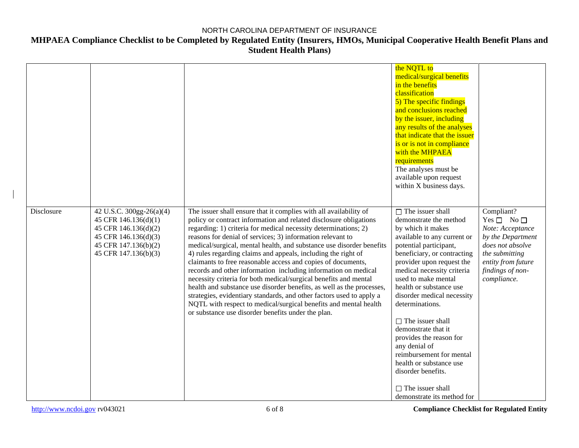|            |                                                                                                                                                  |                                                                                                                                                                                                                                                                                                                                                                                                                                                                                                                                                                                                                                                                                                                                                                                                                                                                                                   | the NQTL to<br>medical/surgical benefits<br>in the benefits<br>classification<br>5) The specific findings<br>and conclusions reached<br>by the issuer, including<br>any results of the analyses<br>that indicate that the issuer<br>is or is not in compliance<br>with the MHPAEA<br>requirements<br>The analyses must be<br>available upon request<br>within X business days.                                                                                                                                                                                   |                                                                                                                                                                            |
|------------|--------------------------------------------------------------------------------------------------------------------------------------------------|---------------------------------------------------------------------------------------------------------------------------------------------------------------------------------------------------------------------------------------------------------------------------------------------------------------------------------------------------------------------------------------------------------------------------------------------------------------------------------------------------------------------------------------------------------------------------------------------------------------------------------------------------------------------------------------------------------------------------------------------------------------------------------------------------------------------------------------------------------------------------------------------------|------------------------------------------------------------------------------------------------------------------------------------------------------------------------------------------------------------------------------------------------------------------------------------------------------------------------------------------------------------------------------------------------------------------------------------------------------------------------------------------------------------------------------------------------------------------|----------------------------------------------------------------------------------------------------------------------------------------------------------------------------|
| Disclosure | 42 U.S.C. 300gg-26(a)(4)<br>45 CFR 146.136(d)(1)<br>45 CFR 146.136(d)(2)<br>45 CFR 146.136(d)(3)<br>45 CFR 147.136(b)(2)<br>45 CFR 147.136(b)(3) | The issuer shall ensure that it complies with all availability of<br>policy or contract information and related disclosure obligations<br>regarding: 1) criteria for medical necessity determinations; 2)<br>reasons for denial of services; 3) information relevant to<br>medical/surgical, mental health, and substance use disorder benefits<br>4) rules regarding claims and appeals, including the right of<br>claimants to free reasonable access and copies of documents,<br>records and other information including information on medical<br>necessity criteria for both medical/surgical benefits and mental<br>health and substance use disorder benefits, as well as the processes,<br>strategies, evidentiary standards, and other factors used to apply a<br>NQTL with respect to medical/surgical benefits and mental health<br>or substance use disorder benefits under the plan. | $\Box$ The issuer shall<br>demonstrate the method<br>by which it makes<br>available to any current or<br>potential participant,<br>beneficiary, or contracting<br>provider upon request the<br>medical necessity criteria<br>used to make mental<br>health or substance use<br>disorder medical necessity<br>determinations.<br>$\Box$ The issuer shall<br>demonstrate that it<br>provides the reason for<br>any denial of<br>reimbursement for mental<br>health or substance use<br>disorder benefits.<br>$\Box$ The issuer shall<br>demonstrate its method for | Compliant?<br>Yes $\Box$ No $\Box$<br>Note: Acceptance<br>by the Department<br>does not absolve<br>the submitting<br>entity from future<br>findings of non-<br>compliance. |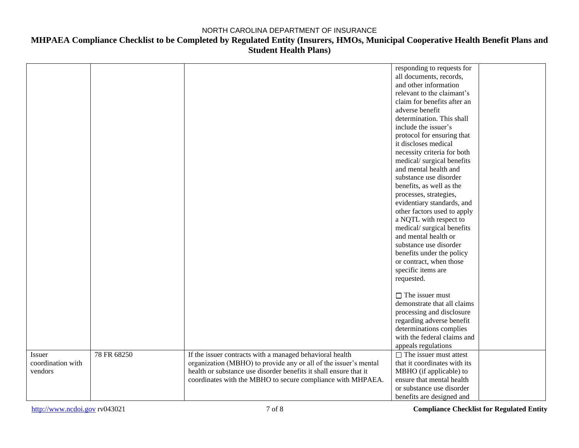|                   |             |                                                                   | responding to requests for    |  |
|-------------------|-------------|-------------------------------------------------------------------|-------------------------------|--|
|                   |             |                                                                   | all documents, records,       |  |
|                   |             |                                                                   | and other information         |  |
|                   |             |                                                                   | relevant to the claimant's    |  |
|                   |             |                                                                   | claim for benefits after an   |  |
|                   |             |                                                                   | adverse benefit               |  |
|                   |             |                                                                   | determination. This shall     |  |
|                   |             |                                                                   | include the issuer's          |  |
|                   |             |                                                                   | protocol for ensuring that    |  |
|                   |             |                                                                   | it discloses medical          |  |
|                   |             |                                                                   |                               |  |
|                   |             |                                                                   | necessity criteria for both   |  |
|                   |             |                                                                   | medical/surgical benefits     |  |
|                   |             |                                                                   | and mental health and         |  |
|                   |             |                                                                   | substance use disorder        |  |
|                   |             |                                                                   | benefits, as well as the      |  |
|                   |             |                                                                   | processes, strategies,        |  |
|                   |             |                                                                   | evidentiary standards, and    |  |
|                   |             |                                                                   | other factors used to apply   |  |
|                   |             |                                                                   | a NQTL with respect to        |  |
|                   |             |                                                                   | medical/surgical benefits     |  |
|                   |             |                                                                   | and mental health or          |  |
|                   |             |                                                                   | substance use disorder        |  |
|                   |             |                                                                   | benefits under the policy     |  |
|                   |             |                                                                   | or contract, when those       |  |
|                   |             |                                                                   | specific items are            |  |
|                   |             |                                                                   | requested.                    |  |
|                   |             |                                                                   |                               |  |
|                   |             |                                                                   | $\Box$ The issuer must        |  |
|                   |             |                                                                   | demonstrate that all claims   |  |
|                   |             |                                                                   | processing and disclosure     |  |
|                   |             |                                                                   |                               |  |
|                   |             |                                                                   | regarding adverse benefit     |  |
|                   |             |                                                                   | determinations complies       |  |
|                   |             |                                                                   | with the federal claims and   |  |
|                   |             |                                                                   | appeals regulations           |  |
| Issuer            | 78 FR 68250 | If the issuer contracts with a managed behavioral health          | $\Box$ The issuer must attest |  |
| coordination with |             | organization (MBHO) to provide any or all of the issuer's mental  | that it coordinates with its  |  |
| vendors           |             | health or substance use disorder benefits it shall ensure that it | MBHO (if applicable) to       |  |
|                   |             | coordinates with the MBHO to secure compliance with MHPAEA.       | ensure that mental health     |  |
|                   |             |                                                                   | or substance use disorder     |  |
|                   |             |                                                                   | benefits are designed and     |  |